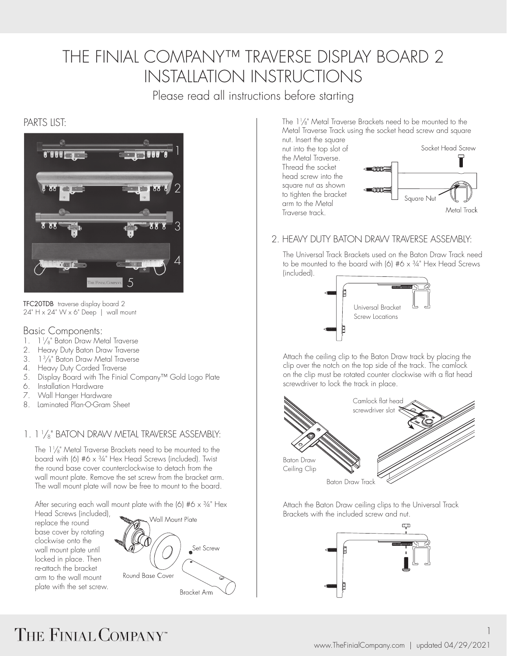## THE FINIAL COMPANY™ TRAVERSE DISPLAY BOARD 2 INSTALLATION INSTRUCTIONS

Please read all instructions before starting

### PARTS LIST:



TFC20TDB traverse display board 2  $24" H \times 24" W \times 6" Deep'$  | wall mount

#### Basic Components:

- 1. 1<sup>1</sup>/<sub>8</sub>" Baton Draw Metal Traverse
- 2. Heavy Duty Baton Draw Traverse
- 3. 1 3 /8" Baton Draw Metal Traverse
- 4. Heavy Duty Corded Traverse
- 5. Display Board with The Finial Company™ Gold Logo Plate
- 6. Installation Hardware
- 7. Wall Hanger Hardware
- 8. Laminated Plan-O-Gram Sheet

### 1. 1 1 /8" BATON DRAW METAL TRAVERSE ASSEMBLY:

The  $1\frac{1}{8}$ " Metal Traverse Brackets need to be mounted to the board with (6) #6 x 3/4" Hex Head Screws (included). Twist the round base cover counterclockwise to detach from the wall mount plate. Remove the set screw from the bracket arm. The wall mount plate will now be free to mount to the board.

After securing each wall mount plate with the  $(6)$  #6 x  $\frac{3}{4}$ " Hex

Head Screws (included), replace the round base cover by rotating clockwise onto the wall mount plate until locked in place. Then re-attach the bracket arm to the wall mount plate with the set screw.



The  $1\frac{1}{8}$ " Metal Traverse Brackets need to be mounted to the Metal Traverse Track using the socket head screw and square

nut. Insert the square nut into the top slot of the Metal Traverse. Thread the socket head screw into the square nut as shown to tighten the bracket arm to the Metal Traverse track.



#### 2. HEAVY DUTY BATON DRAW TRAVERSE ASSEMBLY

The Universal Track Brackets used on the Baton Draw Track need to be mounted to the board with  $(6)$  #6  $\times$  3/4" Hex Head Screws (included).



Attach the ceiling clip to the Baton Draw track by placing the clip over the notch on the top side of the track. The camlock on the clip must be rotated counter clockwise with a flat head screwdriver to lock the track in place.



Attach the Baton Draw ceiling clips to the Universal Track Brackets with the included screw and nut.



# THE FINIAL COMPANY"

1